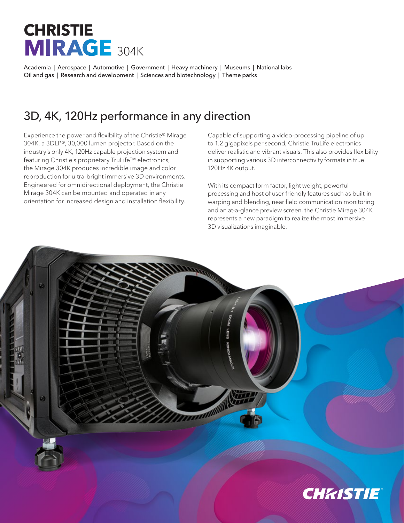## **CHRISTIE MIRAGE** 304K

Academia | Aerospace | Automotive | Government | Heavy machinery | Museums | National labs Oil and gas | Research and development | Sciences and biotechnology | Theme parks

## 3D, 4K, 120Hz performance in any direction

Experience the power and flexibility of the Christie® Mirage 304K, a 3DLP®, 30,000 lumen projector. Based on the industry's only 4K, 120Hz capable projection system and featuring Christie's proprietary TruLife™ electronics, the Mirage 304K produces incredible image and color reproduction for ultra-bright immersive 3D environments. Engineered for omnidirectional deployment, the Christie Mirage 304K can be mounted and operated in any orientation for increased design and installation flexibility.

Capable of supporting a video-processing pipeline of up to 1.2 gigapixels per second, Christie TruLife electronics deliver realistic and vibrant visuals. This also provides flexibility in supporting various 3D interconnectivity formats in true 120Hz 4K output.

With its compact form factor, light weight, powerful processing and host of user-friendly features such as built-in warping and blending, near field communication monitoring and an at-a-glance preview screen, the Christie Mirage 304K represents a new paradigm to realize the most immersive 3D visualizations imaginable.

**GMB**